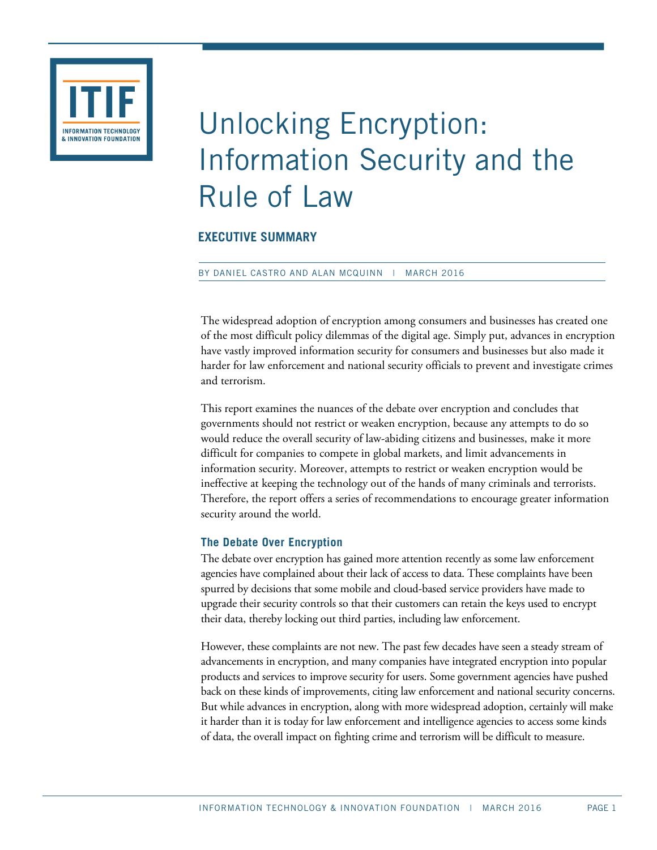

# Unlocking Encryption: Information Security and the Rule of Law

# **EXECUTIVE SUMMARY**

BY DANIEL CASTRO AND ALAN MCQUINN | MARCH 2016

The widespread adoption of encryption among consumers and businesses has created one of the most difficult policy dilemmas of the digital age. Simply put, advances in encryption have vastly improved information security for consumers and businesses but also made it harder for law enforcement and national security officials to prevent and investigate crimes and terrorism.

This report examines the nuances of the debate over encryption and concludes that governments should not restrict or weaken encryption, because any attempts to do so would reduce the overall security of law-abiding citizens and businesses, make it more difficult for companies to compete in global markets, and limit advancements in information security. Moreover, attempts to restrict or weaken encryption would be ineffective at keeping the technology out of the hands of many criminals and terrorists. Therefore, the report offers a series of recommendations to encourage greater information security around the world.

## **The Debate Over Encryption**

The debate over encryption has gained more attention recently as some law enforcement agencies have complained about their lack of access to data. These complaints have been spurred by decisions that some mobile and cloud-based service providers have made to upgrade their security controls so that their customers can retain the keys used to encrypt their data, thereby locking out third parties, including law enforcement.

However, these complaints are not new. The past few decades have seen a steady stream of advancements in encryption, and many companies have integrated encryption into popular products and services to improve security for users. Some government agencies have pushed back on these kinds of improvements, citing law enforcement and national security concerns. But while advances in encryption, along with more widespread adoption, certainly will make it harder than it is today for law enforcement and intelligence agencies to access some kinds of data, the overall impact on fighting crime and terrorism will be difficult to measure.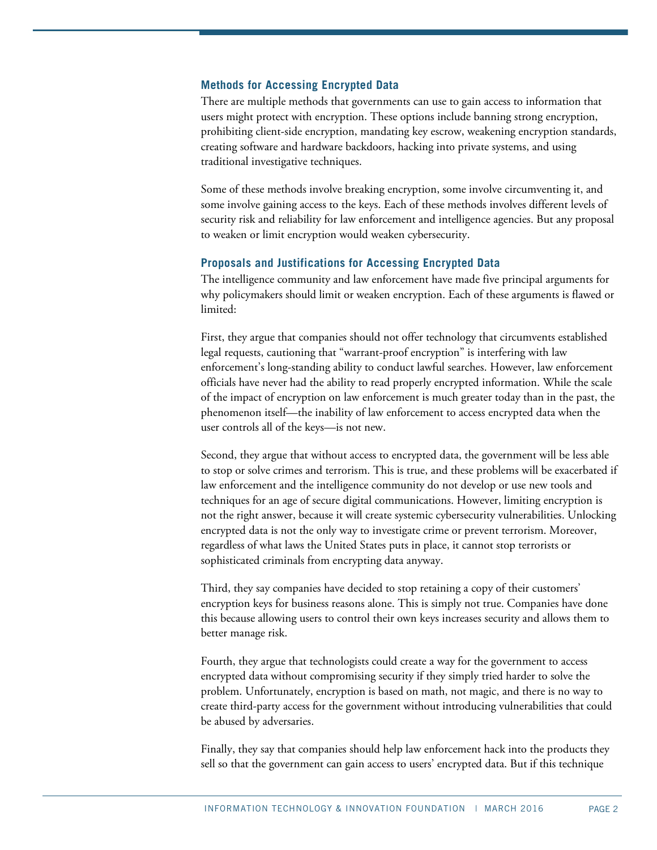#### **Methods for Accessing Encrypted Data**

There are multiple methods that governments can use to gain access to information that users might protect with encryption. These options include banning strong encryption, prohibiting client-side encryption, mandating key escrow, weakening encryption standards, creating software and hardware backdoors, hacking into private systems, and using traditional investigative techniques.

Some of these methods involve breaking encryption, some involve circumventing it, and some involve gaining access to the keys. Each of these methods involves different levels of security risk and reliability for law enforcement and intelligence agencies. But any proposal to weaken or limit encryption would weaken cybersecurity.

#### **Proposals and Justifications for Accessing Encrypted Data**

The intelligence community and law enforcement have made five principal arguments for why policymakers should limit or weaken encryption. Each of these arguments is flawed or limited:

First, they argue that companies should not offer technology that circumvents established legal requests, cautioning that "warrant-proof encryption" is interfering with law enforcement's long-standing ability to conduct lawful searches. However, law enforcement officials have never had the ability to read properly encrypted information. While the scale of the impact of encryption on law enforcement is much greater today than in the past, the phenomenon itself—the inability of law enforcement to access encrypted data when the user controls all of the keys—is not new.

Second, they argue that without access to encrypted data, the government will be less able to stop or solve crimes and terrorism. This is true, and these problems will be exacerbated if law enforcement and the intelligence community do not develop or use new tools and techniques for an age of secure digital communications. However, limiting encryption is not the right answer, because it will create systemic cybersecurity vulnerabilities. Unlocking encrypted data is not the only way to investigate crime or prevent terrorism. Moreover, regardless of what laws the United States puts in place, it cannot stop terrorists or sophisticated criminals from encrypting data anyway.

Third, they say companies have decided to stop retaining a copy of their customers' encryption keys for business reasons alone. This is simply not true. Companies have done this because allowing users to control their own keys increases security and allows them to better manage risk.

Fourth, they argue that technologists could create a way for the government to access encrypted data without compromising security if they simply tried harder to solve the problem. Unfortunately, encryption is based on math, not magic, and there is no way to create third-party access for the government without introducing vulnerabilities that could be abused by adversaries.

Finally, they say that companies should help law enforcement hack into the products they sell so that the government can gain access to users' encrypted data. But if this technique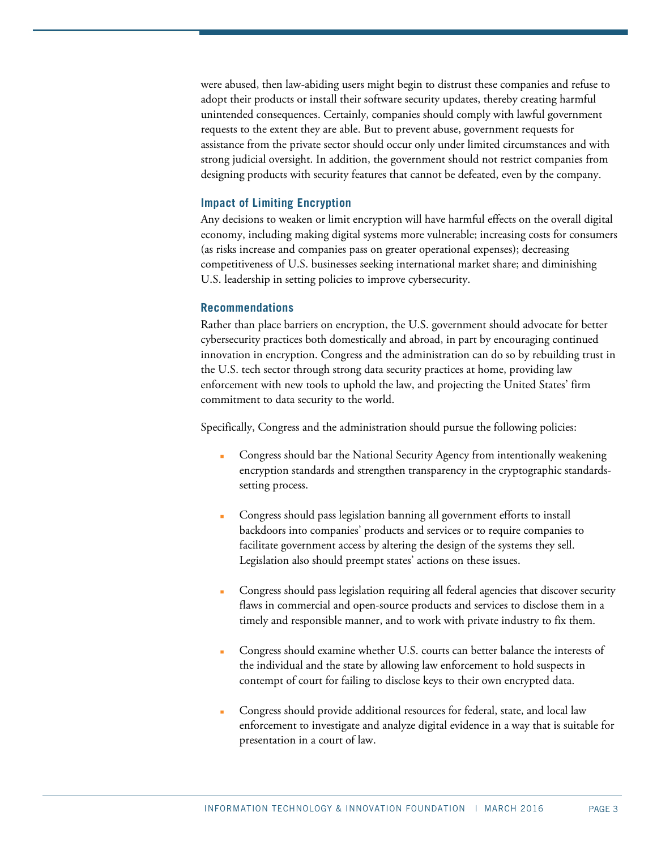were abused, then law-abiding users might begin to distrust these companies and refuse to adopt their products or install their software security updates, thereby creating harmful unintended consequences. Certainly, companies should comply with lawful government requests to the extent they are able. But to prevent abuse, government requests for assistance from the private sector should occur only under limited circumstances and with strong judicial oversight. In addition, the government should not restrict companies from designing products with security features that cannot be defeated, even by the company.

### **Impact of Limiting Encryption**

Any decisions to weaken or limit encryption will have harmful effects on the overall digital economy, including making digital systems more vulnerable; increasing costs for consumers (as risks increase and companies pass on greater operational expenses); decreasing competitiveness of U.S. businesses seeking international market share; and diminishing U.S. leadership in setting policies to improve cybersecurity.

### **Recommendations**

Rather than place barriers on encryption, the U.S. government should advocate for better cybersecurity practices both domestically and abroad, in part by encouraging continued innovation in encryption. Congress and the administration can do so by rebuilding trust in the U.S. tech sector through strong data security practices at home, providing law enforcement with new tools to uphold the law, and projecting the United States' firm commitment to data security to the world.

Specifically, Congress and the administration should pursue the following policies:

- Congress should bar the National Security Agency from intentionally weakening encryption standards and strengthen transparency in the cryptographic standardssetting process.
- Congress should pass legislation banning all government efforts to install backdoors into companies' products and services or to require companies to facilitate government access by altering the design of the systems they sell. Legislation also should preempt states' actions on these issues.
- Congress should pass legislation requiring all federal agencies that discover security flaws in commercial and open-source products and services to disclose them in a timely and responsible manner, and to work with private industry to fix them.
- Congress should examine whether U.S. courts can better balance the interests of the individual and the state by allowing law enforcement to hold suspects in contempt of court for failing to disclose keys to their own encrypted data.
- Congress should provide additional resources for federal, state, and local law enforcement to investigate and analyze digital evidence in a way that is suitable for presentation in a court of law.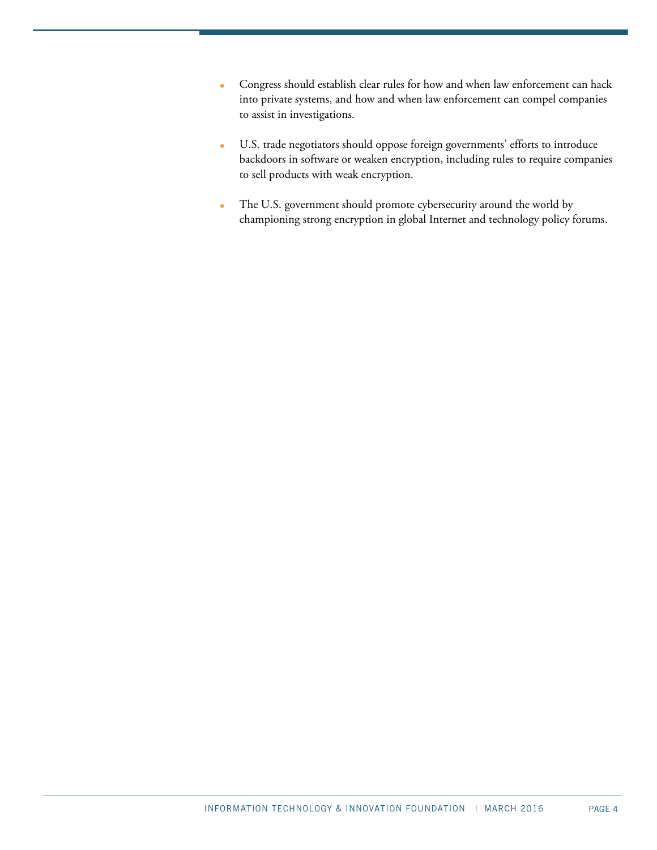- Congress should establish clear rules for how and when law enforcement can hack into private systems, and how and when law enforcement can compel companies to assist in investigations.
- U.S. trade negotiators should oppose foreign governments' efforts to introduce backdoors in software or weaken encryption, including rules to require companies to sell products with weak encryption.
- The U.S. government should promote cybersecurity around the world by championing strong encryption in global Internet and technology policy forums.